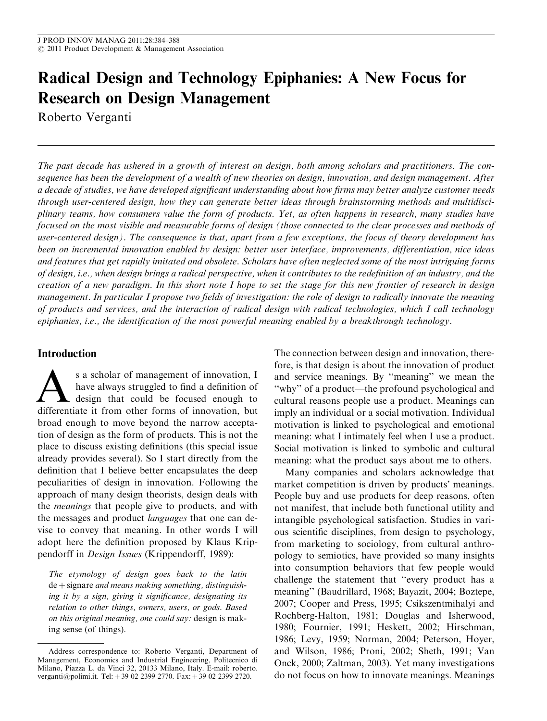# Radical Design and Technology Epiphanies: A New Focus for Research on Design Management

Roberto Verganti

The past decade has ushered in a growth of interest on design, both among scholars and practitioners. The consequence has been the development of a wealth of new theories on design, innovation, and design management. After a decade of studies, we have developed significant understanding about how firms may better analyze customer needs through user-centered design, how they can generate better ideas through brainstorming methods and multidisciplinary teams, how consumers value the form of products. Yet, as often happens in research, many studies have focused on the most visible and measurable forms of design (those connected to the clear processes and methods of user-centered design). The consequence is that, apart from a few exceptions, the focus of theory development has been on incremental innovation enabled by design: better user interface, improvements, differentiation, nice ideas and features that get rapidly imitated and obsolete. Scholars have often neglected some of the most intriguing forms of design, i.e., when design brings a radical perspective, when it contributes to the redefinition of an industry, and the creation of a new paradigm. In this short note I hope to set the stage for this new frontier of research in design management. In particular I propose two fields of investigation: the role of design to radically innovate the meaning of products and services, and the interaction of radical design with radical technologies, which I call technology epiphanies, i.e., the identification of the most powerful meaning enabled by a breakthrough technology.

# Introduction

s a scholar of management of innovation, I<br>have always struggled to find a definition of<br>distance always truggled to find a definition of<br>differentiate it from other forms of innovation, but have always struggled to find a definition of design that could be focused enough to differentiate it from other forms of innovation, but broad enough to move beyond the narrow acceptation of design as the form of products. This is not the place to discuss existing definitions (this special issue already provides several). So I start directly from the definition that I believe better encapsulates the deep peculiarities of design in innovation. Following the approach of many design theorists, design deals with the meanings that people give to products, and with the messages and product languages that one can devise to convey that meaning. In other words I will adopt here the definition proposed by Klaus Krippendorff in Design Issues (Krippendorff, 1989):

The etymology of design goes back to the latin  $de + sign are and means making something, distinguish$ ing it by a sign, giving it significance, designating its relation to other things, owners, users, or gods. Based on this original meaning, one could say: design is making sense (of things).

The connection between design and innovation, therefore, is that design is about the innovation of product and service meanings. By ''meaning'' we mean the ''why'' of a product—the profound psychological and cultural reasons people use a product. Meanings can imply an individual or a social motivation. Individual motivation is linked to psychological and emotional meaning: what I intimately feel when I use a product. Social motivation is linked to symbolic and cultural meaning: what the product says about me to others.

Many companies and scholars acknowledge that market competition is driven by products' meanings. People buy and use products for deep reasons, often not manifest, that include both functional utility and intangible psychological satisfaction. Studies in various scientific disciplines, from design to psychology, from marketing to sociology, from cultural anthropology to semiotics, have provided so many insights into consumption behaviors that few people would challenge the statement that ''every product has a meaning'' (Baudrillard, 1968; Bayazit, 2004; Boztepe, 2007; Cooper and Press, 1995; Csikszentmihalyi and Rochberg-Halton, 1981; Douglas and Isherwood, 1980; Fournier, 1991; Heskett, 2002; Hirschman, 1986; Levy, 1959; Norman, 2004; Peterson, Hoyer, and Wilson, 1986; Proni, 2002; Sheth, 1991; Van Onck, 2000; Zaltman, 2003). Yet many investigations do not focus on how to innovate meanings. Meanings

Address correspondence to: Roberto Verganti, Department of Management, Economics and Industrial Engineering, Politecnico di Milano, Piazza L. da Vinci 32, 20133 Milano, Italy. E-mail: [roberto.](mailto:roberto.verganti@polimi.it) [verganti@polimi.it. Tel:](mailto:roberto.verganti@polimi.it)  $+390223992770$ . Fax:  $+390223992720$ .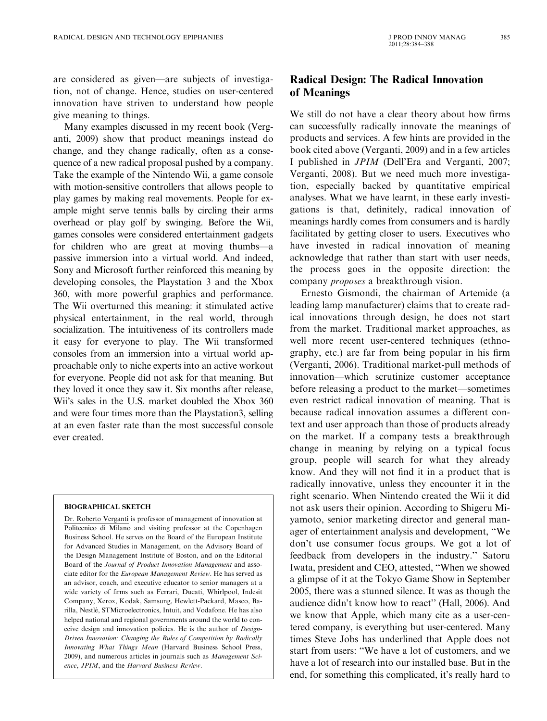are considered as given—are subjects of investigation, not of change. Hence, studies on user-centered innovation have striven to understand how people give meaning to things.

Many examples discussed in my recent book (Verganti, 2009) show that product meanings instead do change, and they change radically, often as a consequence of a new radical proposal pushed by a company. Take the example of the Nintendo Wii, a game console with motion-sensitive controllers that allows people to play games by making real movements. People for example might serve tennis balls by circling their arms overhead or play golf by swinging. Before the Wii, games consoles were considered entertainment gadgets for children who are great at moving thumbs—a passive immersion into a virtual world. And indeed, Sony and Microsoft further reinforced this meaning by developing consoles, the Playstation 3 and the Xbox 360, with more powerful graphics and performance. The Wii overturned this meaning: it stimulated active physical entertainment, in the real world, through socialization. The intuitiveness of its controllers made it easy for everyone to play. The Wii transformed consoles from an immersion into a virtual world approachable only to niche experts into an active workout for everyone. People did not ask for that meaning. But they loved it once they saw it. Six months after release, Wii's sales in the U.S. market doubled the Xbox 360 and were four times more than the Playstation3, selling at an even faster rate than the most successful console ever created.

#### BIOGRAPHICAL SKETCH

Dr. Roberto Verganti is professor of management of innovation at Politecnico di Milano and visiting professor at the Copenhagen Business School. He serves on the Board of the European Institute for Advanced Studies in Management, on the Advisory Board of the Design Management Institute of Boston, and on the Editorial Board of the Journal of Product Innovation Management and associate editor for the European Management Review. He has served as an advisor, coach, and executive educator to senior managers at a wide variety of firms such as Ferrari, Ducati, Whirlpool, Indesit Company, Xerox, Kodak, Samsung, Hewlett-Packard, Masco, Barilla, Nestle`, STMicroelectronics, Intuit, and Vodafone. He has also helped national and regional governments around the world to conceive design and innovation policies. He is the author of Design-Driven Innovation: Changing the Rules of Competition by Radically Innovating What Things Mean (Harvard Business School Press, 2009), and numerous articles in journals such as Management Science, JPIM, and the Harvard Business Review.

# Radical Design: The Radical Innovation of Meanings

We still do not have a clear theory about how firms can successfully radically innovate the meanings of products and services. A few hints are provided in the book cited above (Verganti, 2009) and in a few articles I published in JPIM (Dell'Era and Verganti, 2007; Verganti, 2008). But we need much more investigation, especially backed by quantitative empirical analyses. What we have learnt, in these early investigations is that, definitely, radical innovation of meanings hardly comes from consumers and is hardly facilitated by getting closer to users. Executives who have invested in radical innovation of meaning acknowledge that rather than start with user needs, the process goes in the opposite direction: the company *proposes* a breakthrough vision.

Ernesto Gismondi, the chairman of Artemide (a leading lamp manufacturer) claims that to create radical innovations through design, he does not start from the market. Traditional market approaches, as well more recent user-centered techniques (ethnography, etc.) are far from being popular in his firm (Verganti, 2006). Traditional market-pull methods of innovation—which scrutinize customer acceptance before releasing a product to the market—sometimes even restrict radical innovation of meaning. That is because radical innovation assumes a different context and user approach than those of products already on the market. If a company tests a breakthrough change in meaning by relying on a typical focus group, people will search for what they already know. And they will not find it in a product that is radically innovative, unless they encounter it in the right scenario. When Nintendo created the Wii it did not ask users their opinion. According to Shigeru Miyamoto, senior marketing director and general manager of entertainment analysis and development, ''We don't use consumer focus groups. We got a lot of feedback from developers in the industry.'' Satoru Iwata, president and CEO, attested, ''When we showed a glimpse of it at the Tokyo Game Show in September 2005, there was a stunned silence. It was as though the audience didn't know how to react'' (Hall, 2006). And we know that Apple, which many cite as a user-centered company, is everything but user-centered. Many times Steve Jobs has underlined that Apple does not start from users: ''We have a lot of customers, and we have a lot of research into our installed base. But in the end, for something this complicated, it's really hard to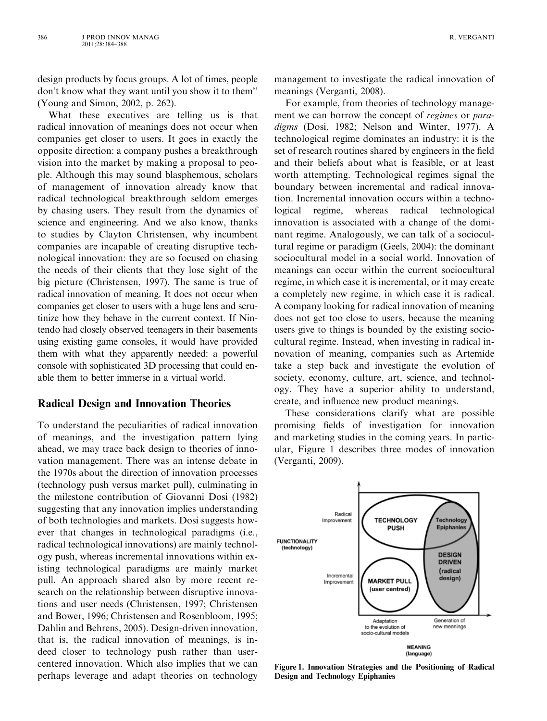design products by focus groups. A lot of times, people don't know what they want until you show it to them'' (Young and Simon, 2002, p. 262).

What these executives are telling us is that radical innovation of meanings does not occur when companies get closer to users. It goes in exactly the opposite direction: a company pushes a breakthrough vision into the market by making a proposal to people. Although this may sound blasphemous, scholars of management of innovation already know that radical technological breakthrough seldom emerges by chasing users. They result from the dynamics of science and engineering. And we also know, thanks to studies by Clayton Christensen, why incumbent companies are incapable of creating disruptive technological innovation: they are so focused on chasing the needs of their clients that they lose sight of the big picture (Christensen, 1997). The same is true of radical innovation of meaning. It does not occur when companies get closer to users with a huge lens and scrutinize how they behave in the current context. If Nintendo had closely observed teenagers in their basements using existing game consoles, it would have provided them with what they apparently needed: a powerful console with sophisticated 3D processing that could enable them to better immerse in a virtual world.

### Radical Design and Innovation Theories

To understand the peculiarities of radical innovation of meanings, and the investigation pattern lying ahead, we may trace back design to theories of innovation management. There was an intense debate in the 1970s about the direction of innovation processes (technology push versus market pull), culminating in the milestone contribution of Giovanni Dosi (1982) suggesting that any innovation implies understanding of both technologies and markets. Dosi suggests however that changes in technological paradigms (i.e., radical technological innovations) are mainly technology push, whereas incremental innovations within existing technological paradigms are mainly market pull. An approach shared also by more recent research on the relationship between disruptive innovations and user needs (Christensen, 1997; Christensen and Bower, 1996; Christensen and Rosenbloom, 1995; Dahlin and Behrens, 2005). Design-driven innovation, that is, the radical innovation of meanings, is indeed closer to technology push rather than usercentered innovation. Which also implies that we can perhaps leverage and adapt theories on technology

management to investigate the radical innovation of meanings (Verganti, 2008).

For example, from theories of technology management we can borrow the concept of regimes or paradigms (Dosi, 1982; Nelson and Winter, 1977). A technological regime dominates an industry: it is the set of research routines shared by engineers in the field and their beliefs about what is feasible, or at least worth attempting. Technological regimes signal the boundary between incremental and radical innovation. Incremental innovation occurs within a technological regime, whereas radical technological innovation is associated with a change of the dominant regime. Analogously, we can talk of a sociocultural regime or paradigm (Geels, 2004): the dominant sociocultural model in a social world. Innovation of meanings can occur within the current sociocultural regime, in which case it is incremental, or it may create a completely new regime, in which case it is radical. A company looking for radical innovation of meaning does not get too close to users, because the meaning users give to things is bounded by the existing sociocultural regime. Instead, when investing in radical innovation of meaning, companies such as Artemide take a step back and investigate the evolution of society, economy, culture, art, science, and technology. They have a superior ability to understand, create, and influence new product meanings.

These considerations clarify what are possible promising fields of investigation for innovation and marketing studies in the coming years. In particular, Figure 1 describes three modes of innovation (Verganti, 2009).



Figure 1. Innovation Strategies and the Positioning of Radical Design and Technology Epiphanies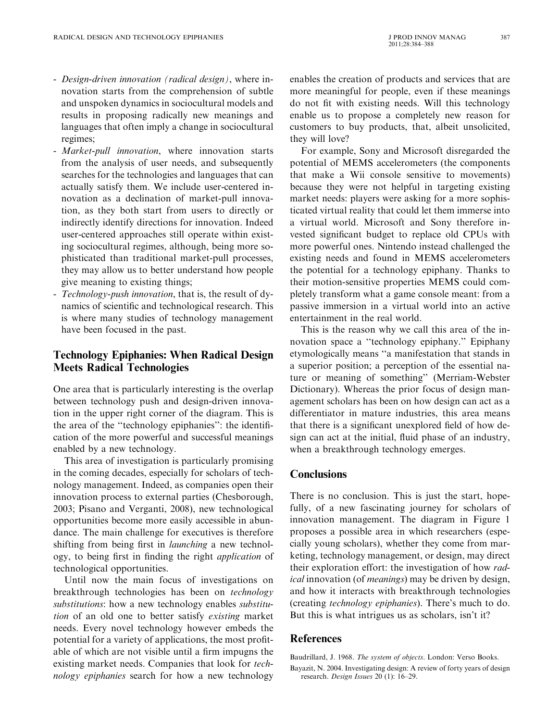- Design-driven innovation (radical design), where innovation starts from the comprehension of subtle and unspoken dynamics in sociocultural models and results in proposing radically new meanings and languages that often imply a change in sociocultural regimes;
- *Market-pull innovation*, where innovation starts from the analysis of user needs, and subsequently searches for the technologies and languages that can actually satisfy them. We include user-centered innovation as a declination of market-pull innovation, as they both start from users to directly or indirectly identify directions for innovation. Indeed user-centered approaches still operate within existing sociocultural regimes, although, being more sophisticated than traditional market-pull processes, they may allow us to better understand how people give meaning to existing things;
- Technology-push innovation, that is, the result of dynamics of scientific and technological research. This is where many studies of technology management have been focused in the past.

# Technology Epiphanies: When Radical Design Meets Radical Technologies

One area that is particularly interesting is the overlap between technology push and design-driven innovation in the upper right corner of the diagram. This is the area of the ''technology epiphanies'': the identification of the more powerful and successful meanings enabled by a new technology.

This area of investigation is particularly promising in the coming decades, especially for scholars of technology management. Indeed, as companies open their innovation process to external parties (Chesborough, 2003; Pisano and Verganti, 2008), new technological opportunities become more easily accessible in abundance. The main challenge for executives is therefore shifting from being first in launching a new technology, to being first in finding the right application of technological opportunities.

Until now the main focus of investigations on breakthrough technologies has been on technology substitutions: how a new technology enables substitution of an old one to better satisfy existing market needs. Every novel technology however embeds the potential for a variety of applications, the most profitable of which are not visible until a firm impugns the existing market needs. Companies that look for technology epiphanies search for how a new technology enables the creation of products and services that are more meaningful for people, even if these meanings do not fit with existing needs. Will this technology enable us to propose a completely new reason for customers to buy products, that, albeit unsolicited, they will love?

For example, Sony and Microsoft disregarded the potential of MEMS accelerometers (the components that make a Wii console sensitive to movements) because they were not helpful in targeting existing market needs: players were asking for a more sophisticated virtual reality that could let them immerse into a virtual world. Microsoft and Sony therefore invested significant budget to replace old CPUs with more powerful ones. Nintendo instead challenged the existing needs and found in MEMS accelerometers the potential for a technology epiphany. Thanks to their motion-sensitive properties MEMS could completely transform what a game console meant: from a passive immersion in a virtual world into an active entertainment in the real world.

This is the reason why we call this area of the innovation space a ''technology epiphany.'' Epiphany etymologically means ''a manifestation that stands in a superior position; a perception of the essential nature or meaning of something'' (Merriam-Webster Dictionary). Whereas the prior focus of design management scholars has been on how design can act as a differentiator in mature industries, this area means that there is a significant unexplored field of how design can act at the initial, fluid phase of an industry, when a breakthrough technology emerges.

# **Conclusions**

There is no conclusion. This is just the start, hopefully, of a new fascinating journey for scholars of innovation management. The diagram in Figure 1 proposes a possible area in which researchers (especially young scholars), whether they come from marketing, technology management, or design, may direct their exploration effort: the investigation of how radical innovation (of meanings) may be driven by design, and how it interacts with breakthrough technologies (creating technology epiphanies). There's much to do. But this is what intrigues us as scholars, isn't it?

# **References**

Baudrillard, J. 1968. The system of objects. London: Verso Books. Bayazit, N. 2004. Investigating design: A review of forty years of design research. Design Issues 20 (1): 16–29.